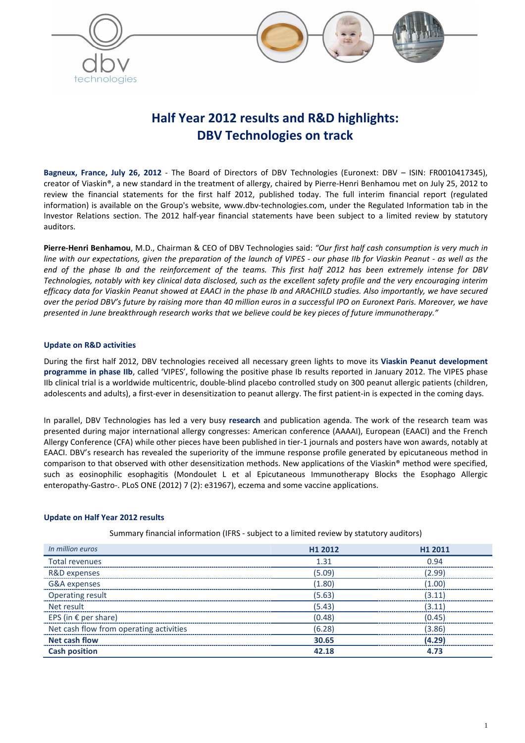



# **Half Year 2012 results and R&D highlights: DBV Technologies on track**

**Bagneux, France, July 26, 2012** - The Board of Directors of DBV Technologies (Euronext: DBV – ISIN: FR0010417345), creator of Viaskin®, a new standard in the treatment of allergy, chaired by Pierre-Henri Benhamou met on July 25, 2012 to review the financial statements for the first half 2012, published today. The full interim financial report (regulated information) is available on the Group's website, www.dbv-technologies.com, under the Regulated Information tab in the Investor Relations section. The 2012 half-year financial statements have been subject to a limited review by statutory auditors.

**Pierre-Henri Benhamou**, M.D., Chairman & CEO of DBV Technologies said: *"Our first half cash consumption is very much in line with our expectations, given the preparation of the launch of VIPES - our phase IIb for Viaskin Peanut - as well as the end of the phase Ib and the reinforcement of the teams. This first half 2012 has been extremely intense for DBV Technologies, notably with key clinical data disclosed, such as the excellent safety profile and the very encouraging interim efficacy data for Viaskin Peanut showed at EAACI in the phase Ib and ARACHILD studies. Also importantly, we have secured over the period DBV's future by raising more than 40 million euros in a successful IPO on Euronext Paris. Moreover, we have presented in June breakthrough research works that we believe could be key pieces of future immunotherapy."* 

## **Update on R&D activities**

During the first half 2012, DBV technologies received all necessary green lights to move its **Viaskin Peanut development programme in phase IIb**, called 'VIPES', following the positive phase Ib results reported in January 2012. The VIPES phase IIb clinical trial is a worldwide multicentric, double-blind placebo controlled study on 300 peanut allergic patients (children, adolescents and adults), a first-ever in desensitization to peanut allergy. The first patient-in is expected in the coming days.

In parallel, DBV Technologies has led a very busy **research** and publication agenda. The work of the research team was presented during major international allergy congresses: American conference (AAAAI), European (EAACI) and the French Allergy Conference (CFA) while other pieces have been published in tier-1 journals and posters have won awards, notably at EAACI. DBV's research has revealed the superiority of the immune response profile generated by epicutaneous method in comparison to that observed with other desensitization methods. New applications of the Viaskin® method were specified, such as eosinophilic esophagitis (Mondoulet L et al Epicutaneous Immunotherapy Blocks the Esophago Allergic enteropathy-Gastro-. PLoS ONE (2012) 7 (2): e31967), eczema and some vaccine applications.

## **Update on Half Year 2012 results**

Summary financial information (IFRS - subject to a limited review by statutory auditors)

| In million euros                        | H1 2012 | H1 2011 |
|-----------------------------------------|---------|---------|
| Total revenues                          | 1.31    | 0 94    |
| R&D expenses                            | (5.09)  | (2.99)  |
| G&A expenses                            | (1.80)  | (1.00)  |
| <b>Operating result</b>                 | (5.63)  | (3.11)  |
| Net result                              | (5.43)  | 3.11    |
| EPS (in $\epsilon$ per share)           | (0.48)  | (0.45)  |
| Net cash flow from operating activities | (6.28)  | (3.86)  |
| <b>Net cash flow</b>                    | 30.65   | (4.29)  |
| <b>Cash position</b>                    | 42.18   | 4.73    |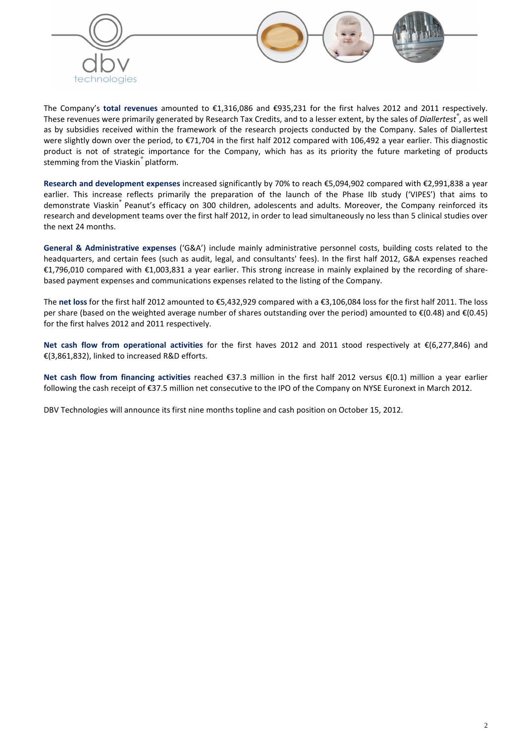

The Company's **total revenues** amounted to €1,316,086 and €935,231 for the first halves 2012 and 2011 respectively. These revenues were primarily generated by Research Tax Credits, and to a lesser extent, by the sales of *Diallertest®* , as well as by subsidies received within the framework of the research projects conducted by the Company. Sales of Diallertest were slightly down over the period, to €71,704 in the first half 2012 compared with 106,492 a year earlier. This diagnostic product is not of strategic importance for the Company, which has as its priority the future marketing of products stemming from the Viaskin*®* platform.

**Research and development expenses** increased significantly by 70% to reach €5,094,902 compared with €2,991,838 a year earlier. This increase reflects primarily the preparation of the launch of the Phase IIb study ('VIPES') that aims to demonstrate Viaskin<sup>®</sup> Peanut's efficacy on 300 children, adolescents and adults. Moreover, the Company reinforced its research and development teams over the first half 2012, in order to lead simultaneously no less than 5 clinical studies over the next 24 months.

**General & Administrative expenses** ('G&A') include mainly administrative personnel costs, building costs related to the headquarters, and certain fees (such as audit, legal, and consultants' fees). In the first half 2012, G&A expenses reached €1,796,010 compared with €1,003,831 a year earlier. This strong increase in mainly explained by the recording of sharebased payment expenses and communications expenses related to the listing of the Company.

The **net loss** for the first half 2012 amounted to €5,432,929 compared with a €3,106,084 loss for the first half 2011. The loss per share (based on the weighted average number of shares outstanding over the period) amounted to €(0.48) and €(0.45) for the first halves 2012 and 2011 respectively.

**Net cash flow from operational activities** for the first haves 2012 and 2011 stood respectively at €(6,277,846) and €(3,861,832), linked to increased R&D efforts.

**Net cash flow from financing activities** reached €37.3 million in the first half 2012 versus €(0.1) million a year earlier following the cash receipt of €37.5 million net consecutive to the IPO of the Company on NYSE Euronext in March 2012.

DBV Technologies will announce its first nine months topline and cash position on October 15, 2012.